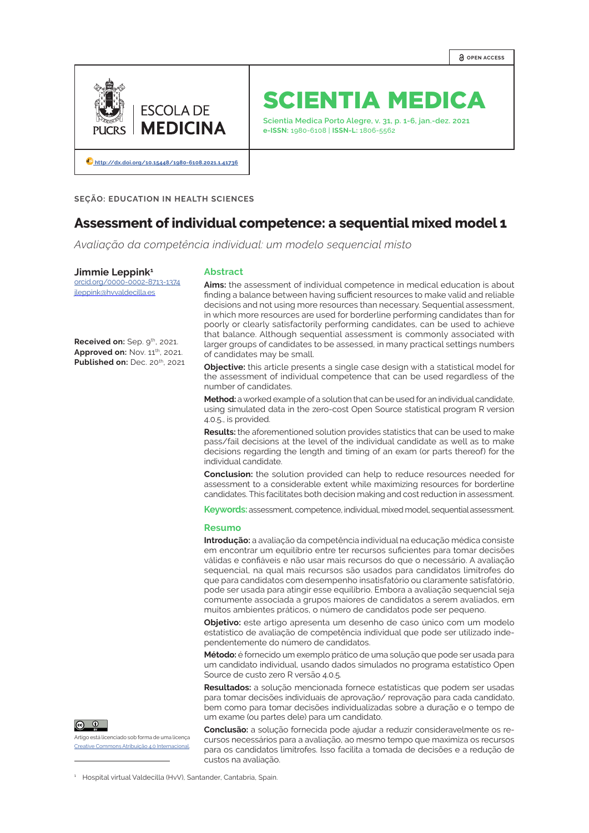

# SCIENTIA MEDICA

**Scientia Medica Porto Alegre, v. 31, p. 1-6, jan.-dez. 2021 e-ISSN:** 1980-6108 | **ISSN-L:** 1806-5562

**[http://dx.doi.org/10.15448/1980-6108.2021.1.4](http://dx.doi.org/10.15448/1980-6108.2021.1.41736 )1736**

**SEÇÃO: EDUCATION IN HEALTH SCIENCES**

# **Assessment of individual competence: a sequential mixed model 1**

*Avaliação da competência individual: um modelo sequencial misto*

**Jimmie Leppink1** orcid.org/0000-0002-8713-1374 jleppink@hvvaldecilla.es

#### **Received on: Sep. 9th, 2021. Approved on: Nov. 11<sup>th</sup>, 2021. Published on:** Dec. 20<sup>th</sup>, 2021

#### **Abstract**

**Aims:** the assessment of individual competence in medical education is about finding a balance between having sufficient resources to make valid and reliable decisions and not using more resources than necessary. Sequential assessment, in which more resources are used for borderline performing candidates than for poorly or clearly satisfactorily performing candidates, can be used to achieve that balance. Although sequential assessment is commonly associated with larger groups of candidates to be assessed, in many practical settings numbers of candidates may be small.

**Objective:** this article presents a single case design with a statistical model for the assessment of individual competence that can be used regardless of the number of candidates.

**Method:** a worked example of a solution that can be used for an individual candidate, using simulated data in the zero-cost Open Source statistical program R version 4.0.5., is provided.

**Results:** the aforementioned solution provides statistics that can be used to make pass/fail decisions at the level of the individual candidate as well as to make decisions regarding the length and timing of an exam (or parts thereof) for the individual candidate.

**Conclusion:** the solution provided can help to reduce resources needed for assessment to a considerable extent while maximizing resources for borderline candidates. This facilitates both decision making and cost reduction in assessment.

**Keywords:** assessment, competence, individual, mixed model, sequential assessment.

#### **Resumo**

**Introdução:** a avaliação da competência individual na educação médica consiste em encontrar um equilíbrio entre ter recursos suficientes para tomar decisões válidas e confiáveis e não usar mais recursos do que o necessário. A avaliação sequencial, na qual mais recursos são usados para candidatos limítrofes do que para candidatos com desempenho insatisfatório ou claramente satisfatório, pode ser usada para atingir esse equilíbrio. Embora a avaliação sequencial seja comumente associada a grupos maiores de candidatos a serem avaliados, em muitos ambientes práticos, o número de candidatos pode ser pequeno.

**Objetivo:** este artigo apresenta um desenho de caso único com um modelo estatístico de avaliação de competência individual que pode ser utilizado independentemente do número de candidatos.

**Método:** é fornecido um exemplo prático de uma solução que pode ser usada para um candidato individual, usando dados simulados no programa estatístico Open Source de custo zero R versão 4.0.5.

**Resultados:** a solução mencionada fornece estatísticas que podem ser usadas para tomar decisões individuais de aprovação/ reprovação para cada candidato, bem como para tomar decisões individualizadas sobre a duração e o tempo de um exame (ou partes dele) para um candidato.

**Conclusão:** a solução fornecida pode ajudar a reduzir consideravelmente os recursos necessários para a avaliação, ao mesmo tempo que maximiza os recursos para os candidatos limítrofes. Isso facilita a tomada de decisões e a redução de custos na avaliação.



Artigo está licenciado sob forma de uma licença [Creative Commons Atribuição 4.0 Internacional](https://creativecommons.org/licenses/by/4.0/deed.pt_BR).

1 Hospital virtual Valdecilla (HvV), Santander, Cantabria, Spain.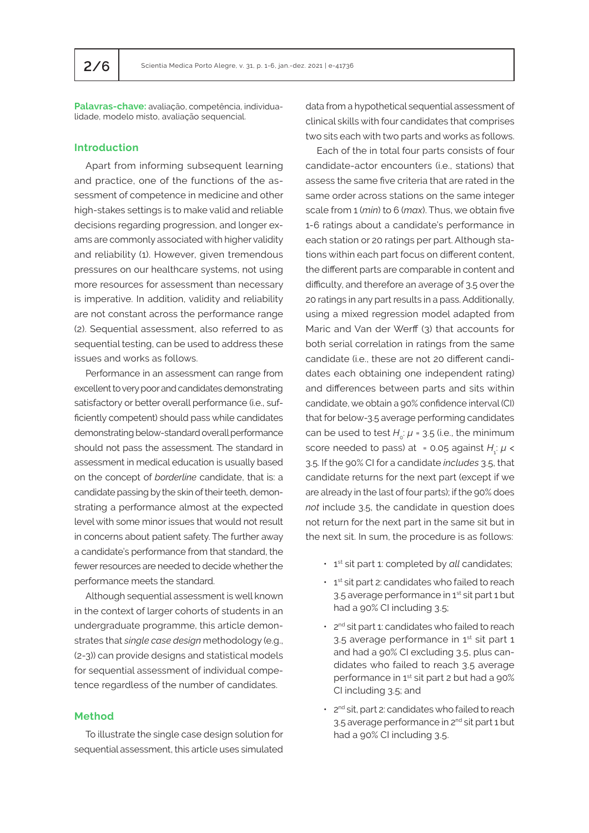**Palavras-chave:** avaliação, competência, individualidade, modelo misto, avaliação sequencial.

# **Introduction**

Apart from informing subsequent learning and practice, one of the functions of the assessment of competence in medicine and other high-stakes settings is to make valid and reliable decisions regarding progression, and longer exams are commonly associated with higher validity and reliability (1). However, given tremendous pressures on our healthcare systems, not using more resources for assessment than necessary is imperative. In addition, validity and reliability are not constant across the performance range (2). Sequential assessment, also referred to as sequential testing, can be used to address these issues and works as follows.

Performance in an assessment can range from excellent to very poor and candidates demonstrating satisfactory or better overall performance (i.e., sufficiently competent) should pass while candidates demonstrating below-standard overall performance should not pass the assessment. The standard in assessment in medical education is usually based on the concept of *borderline* candidate, that is: a candidate passing by the skin of their teeth, demonstrating a performance almost at the expected level with some minor issues that would not result in concerns about patient safety. The further away a candidate's performance from that standard, the fewer resources are needed to decide whether the performance meets the standard.

Although sequential assessment is well known in the context of larger cohorts of students in an undergraduate programme, this article demonstrates that *single case design* methodology (e.g., (2-3)) can provide designs and statistical models for sequential assessment of individual competence regardless of the number of candidates.

#### **Method**

To illustrate the single case design solution for sequential assessment, this article uses simulated

data from a hypothetical sequential assessment of clinical skills with four candidates that comprises two sits each with two parts and works as follows.

Each of the in total four parts consists of four candidate-actor encounters (i.e., stations) that assess the same five criteria that are rated in the same order across stations on the same integer scale from 1 (*min*) to 6 (*max*). Thus, we obtain five 1-6 ratings about a candidate's performance in each station or 20 ratings per part. Although stations within each part focus on different content, the different parts are comparable in content and difficulty, and therefore an average of 3.5 over the 20 ratings in any part results in a pass. Additionally, using a mixed regression model adapted from Maric and Van der Werff (3) that accounts for both serial correlation in ratings from the same candidate (i.e., these are not 20 different candidates each obtaining one independent rating) and differences between parts and sits within candidate, we obtain a 90% confidence interval (CI) that for below-3.5 average performing candidates can be used to test  $H_2: \mu = 3.5$  (i.e., the minimum score needed to pass) at  $=$  0.05 against  $H_i$ :  $\mu$  < 3.5. If the 90% CI for a candidate *includes* 3.5, that candidate returns for the next part (except if we are already in the last of four parts); if the 90% does *not* include 3.5, the candidate in question does not return for the next part in the same sit but in the next sit. In sum, the procedure is as follows:

- 1st sit part 1: completed by *all* candidates;
- $\cdot$  1<sup>st</sup> sit part 2: candidates who failed to reach 3.5 average performance in 1<sup>st</sup> sit part 1 but had a 90% CI including 3.5;
- 2<sup>nd</sup> sit part 1: candidates who failed to reach 3.5 average performance in  $1<sup>st</sup>$  sit part 1 and had a 90% CI excluding 3.5, plus candidates who failed to reach 3.5 average performance in 1<sup>st</sup> sit part 2 but had a 90% CI including 3.5; and
- 2<sup>nd</sup> sit, part 2: candidates who failed to reach 3.5 average performance in 2<sup>nd</sup> sit part 1 but had a 90% CI including 3.5.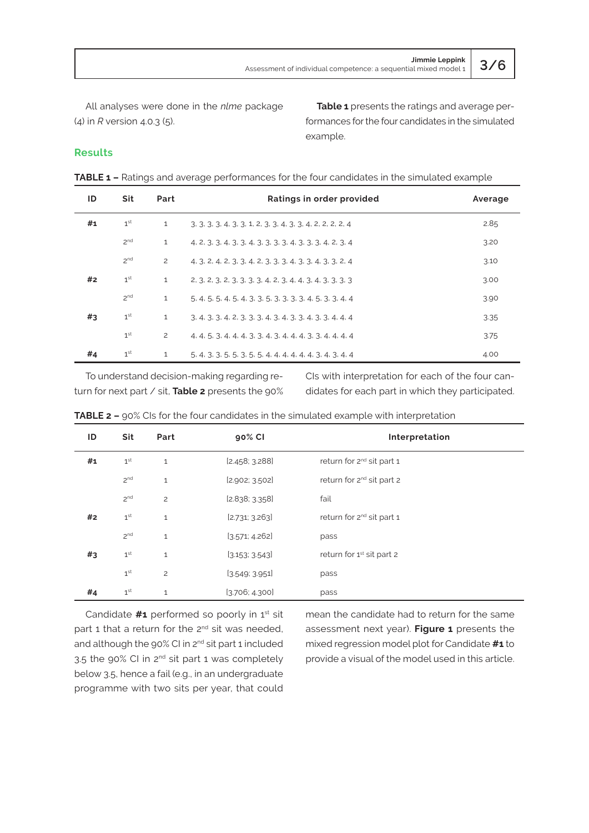All analyses were done in the *nlme* package (4) in *R* version 4.0.3 (5).

**Table 1** presents the ratings and average performances for the four candidates in the simulated example.

## **Results**

|  | <b>TABLE 1 - Ratings and average performances for the four candidates in the simulated example</b> |  |  |  |
|--|----------------------------------------------------------------------------------------------------|--|--|--|
|--|----------------------------------------------------------------------------------------------------|--|--|--|

| ID | <b>Sit</b>      | Part           | Ratings in order provided                                     | Average |
|----|-----------------|----------------|---------------------------------------------------------------|---------|
| #1 | 1 <sup>st</sup> | $\mathbf{1}$   | 3, 3, 3, 3, 4, 3, 3, 1, 2, 3, 3, 4, 3, 3, 4, 2, 2, 2, 2, 4    | 2.85    |
|    | 2 <sup>nd</sup> | $\mathbf{1}$   | 4, 2, 3, 3, 4, 3, 3, 4, 3, 3, 3, 3, 4, 3, 3, 3, 4, 2, 3, 4    | 3.20    |
|    | 2 <sup>nd</sup> | $\overline{c}$ | 4, 3, 2, 4, 2, 3, 3, 4, 2, 3, 3, 3, 4, 3, 3, 4, 3, 3, 2, 4    | 3.10    |
| #2 | 1 <sup>st</sup> | $\mathbf{1}$   | 2, 3, 2, 3, 2, 3, 3, 3, 3, 4, 2, 3, 4, 4, 3, 4, 3, 3, 3, 3    | 3.00    |
|    | 2 <sup>nd</sup> | $\mathbf{1}$   | 5, 4, 5, 5, 4, 5, 4, 3, 3, 5, 3, 3, 3, 3, 4, 5, 3, 3, 4, 4    | 3.90    |
| #3 | 1 <sup>st</sup> | $\mathbf{1}$   | 3, 4, 3, 3, 4, 2, 3, 3, 3, 4, 3, 4, 3, 3, 4, 3, 3, 4, 4, 4, 4 | 3.35    |
|    | 1 <sup>st</sup> | $\overline{c}$ | 4, 4, 5, 3, 4, 4, 4, 3, 3, 4, 3, 4, 4, 4, 3, 3, 4, 4, 4, 4    | 3.75    |
| #4 | 1 <sup>st</sup> | $\mathbf{1}$   | 5, 4, 3, 3, 5, 5, 3, 5, 5, 4, 4, 4, 4, 4, 4, 3, 4, 3, 4, 4    | 4.00    |

To understand decision-making regarding return for next part / sit, **Table 2** presents the 90% CIs with interpretation for each of the four candidates for each part in which they participated.

| ID | Sit             | Part           | $90\%$ CI      | Interpretation                        |
|----|-----------------|----------------|----------------|---------------------------------------|
| #1 | 1 <sup>st</sup> | $1\,$          | [2.458; 3.288] | return for 2 <sup>nd</sup> sit part 1 |
|    | 2 <sup>nd</sup> | $1\,$          | [2.902; 3.502] | return for 2 <sup>nd</sup> sit part 2 |
|    | 2 <sup>nd</sup> | $\overline{c}$ | [2.838; 3.358] | fail                                  |
| #2 | 1 <sup>st</sup> | $\mathbf{1}$   | [2.731; 3.263] | return for 2 <sup>nd</sup> sit part 1 |
|    | 2 <sup>nd</sup> | $1\,$          | [3.571; 4.262] | pass                                  |
| #3 | 1 <sup>st</sup> | $\mathbf{1}$   | [3.153; 3.543] | return for 1 <sup>st</sup> sit part 2 |
|    | 1 <sup>st</sup> | $\overline{c}$ | [3.549; 3.951] | pass                                  |
| #4 | 1 <sup>st</sup> | $\mathbf{1}$   | [3.706; 4.300] | pass                                  |

| <b>TABLE 2 -</b> 90% CIs for the four candidates in the simulated example with interpretation |  |  |
|-----------------------------------------------------------------------------------------------|--|--|
|-----------------------------------------------------------------------------------------------|--|--|

Candidate **#1** performed so poorly in 1st sit part 1 that a return for the 2<sup>nd</sup> sit was needed, and although the 90% CI in 2<sup>nd</sup> sit part 1 included 3.5 the 90% CI in 2nd sit part 1 was completely below 3.5, hence a fail (e.g., in an undergraduate programme with two sits per year, that could

mean the candidate had to return for the same assessment next year). **Figure 1** presents the mixed regression model plot for Candidate **#1** to provide a visual of the model used in this article.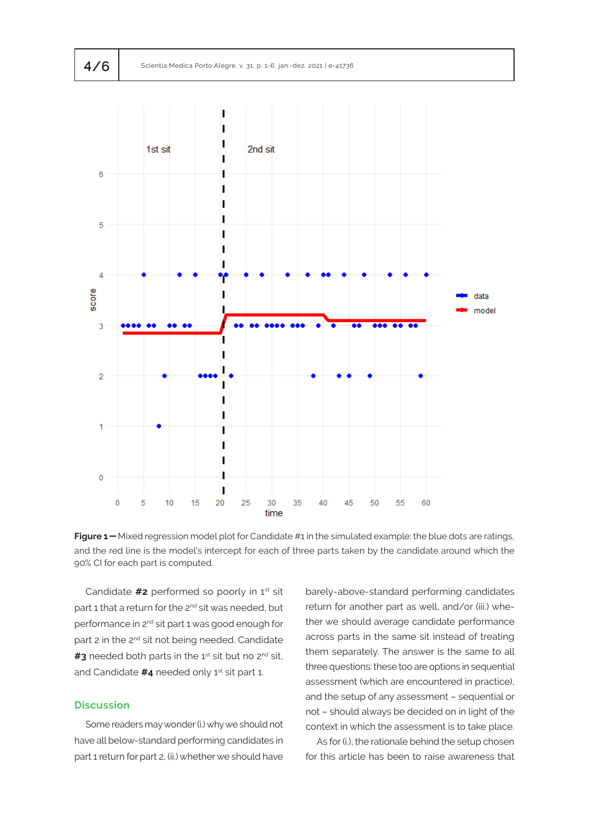



**Figure 1 –** Mixed regression model plot for Candidate #1 in the simulated example: the blue dots are ratings, and the red line is the model's intercept for each of three parts taken by the candidate around which the 90% CI for each part is computed*.*

Candidate **#2** performed so poorly in 1st sit part 1 that a return for the 2<sup>nd</sup> sit was needed, but performance in 2nd sit part 1 was good enough for part 2 in the 2<sup>nd</sup> sit not being needed. Candidate #3 needed both parts in the 1<sup>st</sup> sit but no 2<sup>nd</sup> sit. and Candidate #4 needed only 1<sup>st</sup> sit part 1.

# **Discussion**

Some readers may wonder (i.) why we should not have all below-standard performing candidates in part 1 return for part 2, (ii.) whether we should have barely-above-standard performing candidates return for another part as well, and/or (iii.) whether we should average candidate performance across parts in the same sit instead of treating them separately. The answer is the same to all three questions: these too are options in sequential assessment (which are encountered in practice), and the setup of any assessment – sequential or not – should always be decided on in light of the context in which the assessment is to take place.

As for (i.), the rationale behind the setup chosen for this article has been to raise awareness that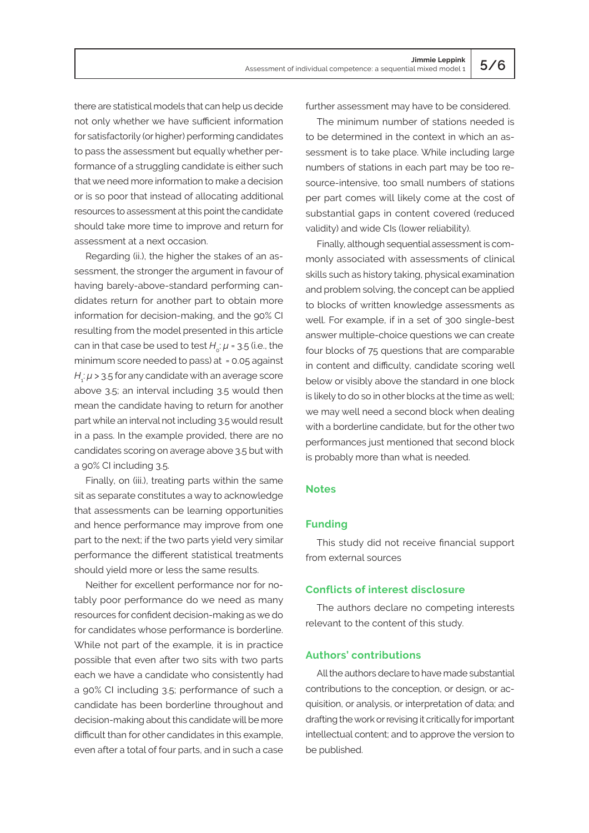there are statistical models that can help us decide not only whether we have sufficient information for satisfactorily (or higher) performing candidates to pass the assessment but equally whether performance of a struggling candidate is either such that we need more information to make a decision or is so poor that instead of allocating additional resources to assessment at this point the candidate should take more time to improve and return for assessment at a next occasion.

Regarding (ii.), the higher the stakes of an assessment, the stronger the argument in favour of having barely-above-standard performing candidates return for another part to obtain more information for decision-making, and the 90% CI resulting from the model presented in this article can in that case be used to test  $H_2$ :  $\mu$  = 3.5 (i.e., the minimum score needed to pass) at  $= 0.05$  against  $H_1$ :  $\mu$  > 3.5 for any candidate with an average score above 3.5; an interval including 3.5 would then mean the candidate having to return for another part while an interval not including 3.5 would result in a pass. In the example provided, there are no candidates scoring on average above 3.5 but with a 90% CI including 3.5.

Finally, on (iii.), treating parts within the same sit as separate constitutes a way to acknowledge that assessments can be learning opportunities and hence performance may improve from one part to the next; if the two parts yield very similar performance the different statistical treatments should yield more or less the same results.

Neither for excellent performance nor for notably poor performance do we need as many resources for confident decision-making as we do for candidates whose performance is borderline. While not part of the example, it is in practice possible that even after two sits with two parts each we have a candidate who consistently had a 90% CI including 3.5; performance of such a candidate has been borderline throughout and decision-making about this candidate will be more difficult than for other candidates in this example, even after a total of four parts, and in such a case

further assessment may have to be considered.

The minimum number of stations needed is to be determined in the context in which an assessment is to take place. While including large numbers of stations in each part may be too resource-intensive, too small numbers of stations per part comes will likely come at the cost of substantial gaps in content covered (reduced validity) and wide CIs (lower reliability).

Finally, although sequential assessment is commonly associated with assessments of clinical skills such as history taking, physical examination and problem solving, the concept can be applied to blocks of written knowledge assessments as well. For example, if in a set of 300 single-best answer multiple-choice questions we can create four blocks of 75 questions that are comparable in content and difficulty, candidate scoring well below or visibly above the standard in one block is likely to do so in other blocks at the time as well; we may well need a second block when dealing with a borderline candidate, but for the other two performances just mentioned that second block is probably more than what is needed.

#### **Notes**

# **Funding**

This study did not receive financial support from external sources

# **Conflicts of interest disclosure**

The authors declare no competing interests relevant to the content of this study.

#### **Authors' contributions**

All the authors declare to have made substantial contributions to the conception, or design, or acquisition, or analysis, or interpretation of data; and drafting the work or revising it critically for important intellectual content; and to approve the version to be published.